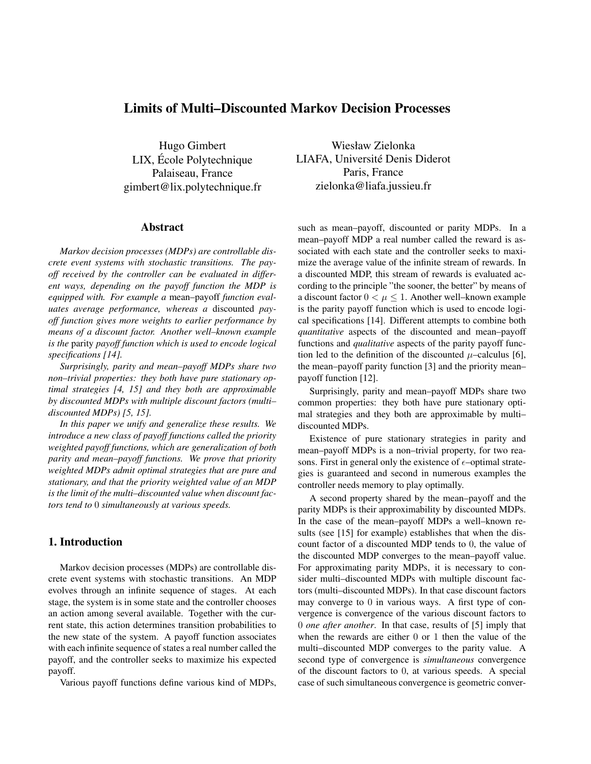# Limits of Multi–Discounted Markov Decision Processes

Hugo Gimbert LIX, Ecole Polytechnique ´ Palaiseau, France gimbert@lix.polytechnique.fr

# Abstract

*Markov decision processes (MDPs) are controllable discrete event systems with stochastic transitions. The payoff received by the controller can be evaluated in different ways, depending on the payoff function the MDP is equipped with. For example a* mean–payoff *function evaluates average performance, whereas a* discounted *payoff function gives more weights to earlier performance by means of a discount factor. Another well–known example is the* parity *payoff function which is used to encode logical specifications [14].*

*Surprisingly, parity and mean–payoff MDPs share two non–trivial properties: they both have pure stationary optimal strategies [4, 15] and they both are approximable by discounted MDPs with multiple discount factors (multi– discounted MDPs) [5, 15].*

*In this paper we unify and generalize these results. We introduce a new class of payoff functions called the priority weighted payoff functions, which are generalization of both parity and mean–payoff functions. We prove that priority weighted MDPs admit optimal strategies that are pure and stationary, and that the priority weighted value of an MDP is the limit of the multi–discounted value when discount factors tend to* 0 *simultaneously at various speeds.*

#### 1. Introduction

Markov decision processes (MDPs) are controllable discrete event systems with stochastic transitions. An MDP evolves through an infinite sequence of stages. At each stage, the system is in some state and the controller chooses an action among several available. Together with the current state, this action determines transition probabilities to the new state of the system. A payoff function associates with each infinite sequence of states a real number called the payoff, and the controller seeks to maximize his expected payoff.

Various payoff functions define various kind of MDPs,

Wiesław Zielonka LIAFA, Université Denis Diderot Paris, France zielonka@liafa.jussieu.fr

such as mean–payoff, discounted or parity MDPs. In a mean–payoff MDP a real number called the reward is associated with each state and the controller seeks to maximize the average value of the infinite stream of rewards. In a discounted MDP, this stream of rewards is evaluated according to the principle "the sooner, the better" by means of a discount factor  $0 < \mu \leq 1$ . Another well–known example is the parity payoff function which is used to encode logical specifications [14]. Different attempts to combine both *quantitative* aspects of the discounted and mean–payoff functions and *qualitative* aspects of the parity payoff function led to the definition of the discounted  $\mu$ –calculus [6], the mean–payoff parity function [3] and the priority mean– payoff function [12].

Surprisingly, parity and mean–payoff MDPs share two common properties: they both have pure stationary optimal strategies and they both are approximable by multi– discounted MDPs.

Existence of pure stationary strategies in parity and mean–payoff MDPs is a non–trivial property, for two reasons. First in general only the existence of  $\epsilon$ -optimal strategies is guaranteed and second in numerous examples the controller needs memory to play optimally.

A second property shared by the mean–payoff and the parity MDPs is their approximability by discounted MDPs. In the case of the mean–payoff MDPs a well–known results (see [15] for example) establishes that when the discount factor of a discounted MDP tends to 0, the value of the discounted MDP converges to the mean–payoff value. For approximating parity MDPs, it is necessary to consider multi–discounted MDPs with multiple discount factors (multi–discounted MDPs). In that case discount factors may converge to 0 in various ways. A first type of convergence is convergence of the various discount factors to 0 *one after another*. In that case, results of [5] imply that when the rewards are either 0 or 1 then the value of the multi–discounted MDP converges to the parity value. A second type of convergence is *simultaneous* convergence of the discount factors to 0, at various speeds. A special case of such simultaneous convergence is geometric conver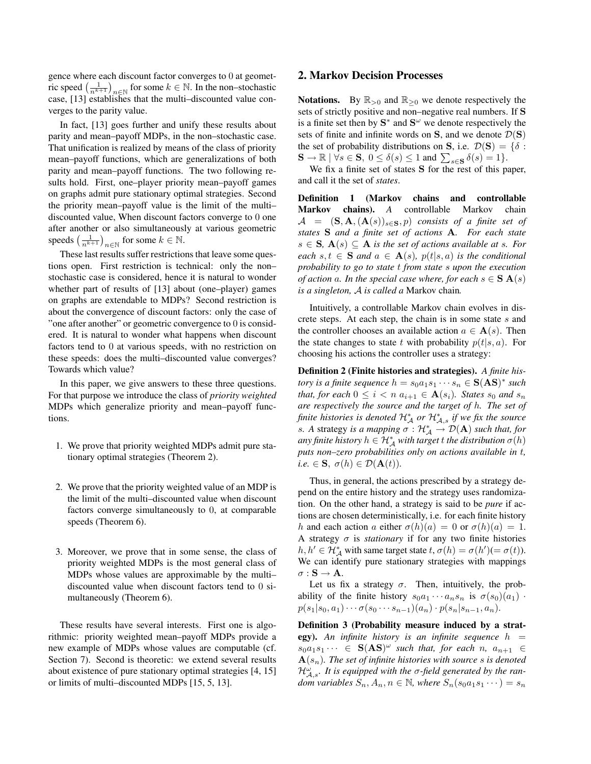gence where each discount factor converges to 0 at geometric speed  $\left(\frac{1}{n^{k+1}}\right)_{n\in\mathbb{N}}$  for some  $k \in \mathbb{N}$ . In the non–stochastic case, [13] establishes that the multi–discounted value converges to the parity value.

In fact, [13] goes further and unify these results about parity and mean–payoff MDPs, in the non–stochastic case. That unification is realized by means of the class of priority mean–payoff functions, which are generalizations of both parity and mean–payoff functions. The two following results hold. First, one–player priority mean–payoff games on graphs admit pure stationary optimal strategies. Second the priority mean–payoff value is the limit of the multi– discounted value, When discount factors converge to 0 one after another or also simultaneously at various geometric speeds  $\left(\frac{1}{n^{k+1}}\right)_{n\in\mathbb{N}}$  for some  $k\in\mathbb{N}$ .

These last results suffer restrictions that leave some questions open. First restriction is technical: only the non– stochastic case is considered, hence it is natural to wonder whether part of results of [13] about (one–player) games on graphs are extendable to MDPs? Second restriction is about the convergence of discount factors: only the case of "one after another" or geometric convergence to 0 is considered. It is natural to wonder what happens when discount factors tend to 0 at various speeds, with no restriction on these speeds: does the multi–discounted value converges? Towards which value?

In this paper, we give answers to these three questions. For that purpose we introduce the class of *priority weighted* MDPs which generalize priority and mean–payoff functions.

- 1. We prove that priority weighted MDPs admit pure stationary optimal strategies (Theorem 2).
- 2. We prove that the priority weighted value of an MDP is the limit of the multi–discounted value when discount factors converge simultaneously to 0, at comparable speeds (Theorem 6).
- 3. Moreover, we prove that in some sense, the class of priority weighted MDPs is the most general class of MDPs whose values are approximable by the multi– discounted value when discount factors tend to 0 simultaneously (Theorem 6).

These results have several interests. First one is algorithmic: priority weighted mean–payoff MDPs provide a new example of MDPs whose values are computable (cf. Section 7). Second is theoretic: we extend several results about existence of pure stationary optimal strategies [4, 15] or limits of multi–discounted MDPs [15, 5, 13].

#### 2. Markov Decision Processes

**Notations.** By  $\mathbb{R}_{>0}$  and  $\mathbb{R}_{\geq 0}$  we denote respectively the sets of strictly positive and non–negative real numbers. If S is a finite set then by  $S^*$  and  $S^{\omega}$  we denote respectively the sets of finite and infinite words on S, and we denote  $\mathcal{D}(S)$ the set of probability distributions on S, i.e.  $\mathcal{D}(S) = \{\delta :$  $\mathbf{S} \to \mathbb{R} \mid \forall s \in \mathbf{S}, \ 0 \le \delta(s) \le 1 \text{ and } \sum_{s \in \mathbf{S}} \delta(s) = 1 \}.$ 

We fix a finite set of states S for the rest of this paper, and call it the set of *states*.

Definition 1 (Markov chains and controllable Markov chains). *A* controllable Markov chain  $A = (S, A, (A(s))_{s \in S}, p)$  *consists of a finite set of states* S *and a finite set of actions* A*. For each state*  $s \in S$ ,  $A(s) \subseteq A$  *is the set of actions available at s. For each*  $s, t \in S$  *and*  $a \in A(s)$ *,*  $p(t|s, a)$  *is the conditional probability to go to state* t *from state* s *upon the execution of action* a. In the special case where, for each  $s \in S$   $A(s)$ *is a singleton,* A *is called a* Markov chain*.*

Intuitively, a controllable Markov chain evolves in discrete steps. At each step, the chain is in some state s and the controller chooses an available action  $a \in \mathbf{A}(s)$ . Then the state changes to state t with probability  $p(t|s, a)$ . For choosing his actions the controller uses a strategy:

Definition 2 (Finite histories and strategies). *A finite history is a finite sequence*  $h = s_0 a_1 s_1 \cdots s_n \in S(AS)^*$  *such that, for each*  $0 \leq i < n$   $a_{i+1} \in \mathbf{A}(s_i)$ *. States*  $s_0$  *and*  $s_n$ *are respectively the source and the target of* h*. The set of finite histories is denoted* H<sup>∗</sup> <sup>A</sup> *or* H<sup>∗</sup> <sup>A</sup>,s *if we fix the source s*. A strategy *is a mapping*  $\sigma : \mathcal{H}_\mathcal{A}^* \to \mathcal{D}(A)$  *such that, for*  $\mathit{any}\text{ finite}\text{ }history\text{ }h\in\mathcal{H}_\mathcal{A}^*$  with target  $t$  the distribution  $\sigma(h)$ *puts non–zero probabilities only on actions available in* t*,*  $i.e. \in \mathbf{S}, \sigma(h) \in \mathcal{D}(\mathbf{A}(t)).$ 

Thus, in general, the actions prescribed by a strategy depend on the entire history and the strategy uses randomization. On the other hand, a strategy is said to be *pure* if actions are chosen deterministically, i.e. for each finite history h and each action a either  $\sigma(h)(a) = 0$  or  $\sigma(h)(a) = 1$ . A strategy  $\sigma$  is *stationary* if for any two finite histories  $h, h' \in \mathcal{H}_{\mathcal{A}}^*$  with same target state  $t, \sigma(h) = \sigma(h') (= \sigma(t)).$ We can identify pure stationary strategies with mappings  $\sigma : \mathbf{S} \to \mathbf{A}$ .

Let us fix a strategy  $\sigma$ . Then, intuitively, the probability of the finite history  $s_0a_1 \cdots a_ns_n$  is  $\sigma(s_0)(a_1)$ .  $p(s_1|s_0, a_1)\cdots \sigma(s_0\cdots s_{n-1})(a_n)\cdot p(s_n|s_{n-1}, a_n).$ 

Definition 3 (Probability measure induced by a strategy). An infinite history is an infinite sequence  $h =$  $s_0a_1s_1\cdots \in S(AS)^{\omega}$  such that, for each n,  $a_{n+1} \in$  $\mathbf{A}(s_n)$ *. The set of infinite histories with source s is denoted*  $\mathcal{H}_{\mathcal{A},s}^{\omega}$ . It is equipped with the  $\sigma$ -field generated by the ran*dom variables*  $S_n$ ,  $A_n$ ,  $n \in \mathbb{N}$ , where  $S_n(s_0a_1s_1\cdots) = s_n$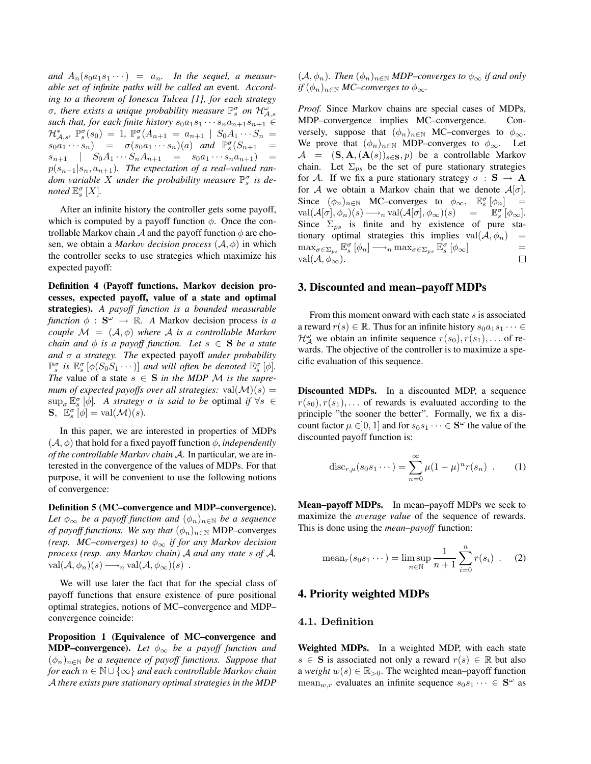and  $A_n(s_0a_1s_1\cdots) = a_n$ . In the sequel, a measur*able set of infinite paths will be called an* event*. According to a theorem of Ionescu Tulcea [1], for each strategy*  $\sigma$ , there exists a unique probability measure  $\mathbb{P}_{s}^{\sigma}$  on  $\mathcal{H}_{\mathcal{A},s}^{\omega}$ *such that, for each finite history*  $s_0a_1s_1 \cdots s_na_{n+1}s_{n+1} \in$  $\mathcal{H}_{\mathcal{A},s}^{*}$ ,  $\mathbb{P}_{s}^{\sigma}(s_{0}) = 1$ ,  $\mathbb{P}_{s}^{\sigma}(A_{n+1} = a_{n+1} | S_{0}A_{1} \cdots S_{n} =$  $s_0a_1 \cdots s_n$  =  $\sigma(s_0a_1 \cdots s_n)(a)$  *and*  $\mathbb{P}_s^{\sigma}(S_{n+1}$  =  $s_{n+1}$  |  $S_0A_1 \cdots S_nA_{n+1} = s_0a_1 \cdots s_na_{n+1}$  =  $p(s_{n+1}|s_n, a_{n+1})$ . The expectation of a real-valued random variable X under the probability measure  $\mathbb{P}_{s}^{\sigma}$  is de*noted*  $\mathbb{E}_{s}^{\sigma}$  [X].

After an infinite history the controller gets some payoff, which is computed by a payoff function  $\phi$ . Once the controllable Markov chain  $A$  and the payoff function  $\phi$  are chosen, we obtain a *Markov decision process*  $(A, \phi)$  in which the controller seeks to use strategies which maximize his expected payoff:

Definition 4 (Payoff functions, Markov decision processes, expected payoff, value of a state and optimal strategies). *A payoff function is a bounded measurable function*  $\phi$  :  $S^{\omega} \rightarrow \mathbb{R}$ . *A* Markov decision process *is a couple*  $\mathcal{M} = (\mathcal{A}, \phi)$  *where*  $\mathcal{A}$  *is a controllable Markov chain and*  $\phi$  *is a payoff function. Let*  $s \in S$  *be a state and* σ *a strategy. The* expected payoff *under probability*  $\mathbb{P}_s^{\sigma}$  is  $\mathbb{E}_s^{\sigma}$  [ $\phi(S_0S_1\cdots)$ ] *and will often be denoted*  $\mathbb{E}_s^{\sigma}$  [ $\phi$ ]. *The* value of a state  $s \in S$  *in the MDP M is the supremum of expected payoffs over all strategies:*  $val(M)(s) =$  $\sup_{\sigma} \mathbb{E}_{s}^{\sigma} [\phi]$ . A strategy  $\sigma$  *is said to be* optimal *if*  $\forall s \in$  $\mathbf{S}, \ \mathbb{E}_s^{\sigma}[\phi] = \text{val}(\mathcal{M})(s).$ 

In this paper, we are interested in properties of MDPs  $(\mathcal{A}, \phi)$  that hold for a fixed payoff function  $\phi$ , *independently of the controllable Markov chain* A. In particular, we are interested in the convergence of the values of MDPs. For that purpose, it will be convenient to use the following notions of convergence:

Definition 5 (MC–convergence and MDP–convergence). *Let*  $\phi_{\infty}$  *be a payoff function and*  $(\phi_n)_{n \in \mathbb{N}}$  *be a sequence of payoff functions. We say that*  $(\phi_n)_{n \in \mathbb{N}}$  MDP–converges *(resp. MC–converges) to*  $\phi_{\infty}$  *if for any Markov decision process (resp. any Markov chain)* A *and any state* s *of* A*,*  $val(\mathcal{A}, \phi_n)(s) \longrightarrow_n val(\mathcal{A}, \phi_\infty)(s)$ .

We will use later the fact that for the special class of payoff functions that ensure existence of pure positional optimal strategies, notions of MC–convergence and MDP– convergence coincide:

Proposition 1 (Equivalence of MC–convergence and **MDP–convergence).** Let  $\phi_{\infty}$  be a payoff function and  $(\phi_n)_{n\in\mathbb{N}}$  *be a sequence of payoff functions. Suppose that for each* n ∈ N ∪ {∞} *and each controllable Markov chain* A *there exists pure stationary optimal strategies in the MDP*  $(\mathcal{A}, \phi_n)$ . Then  $(\phi_n)_{n \in \mathbb{N}}$  MDP–converges to  $\phi_\infty$  if and only *if*  $(\phi_n)_{n \in \mathbb{N}}$  *MC–converges to*  $\phi_{\infty}$ *.* 

*Proof.* Since Markov chains are special cases of MDPs, MDP–convergence implies MC–convergence. Conversely, suppose that  $(\phi_n)_{n \in \mathbb{N}}$  MC–converges to  $\phi_{\infty}$ . We prove that  $(\phi_n)_{n\in\mathbb{N}}$  MDP–converges to  $\phi_\infty$ . Let  $A = (S, A, (A(s))_{s \in S}, p)$  be a controllable Markov chain. Let  $\Sigma_{ps}$  be the set of pure stationary strategies for A. If we fix a pure stationary strategy  $\sigma : S \to A$ for A we obtain a Markov chain that we denote  $A[\sigma]$ . Since  $(\phi_n)_{n \in \mathbb{N}}$  MC–converges to  $\phi_\infty$ ,  $\mathbb{E}_s^{\sigma} [\phi_n] =$  $\operatorname{val}(\mathcal{A}[\sigma], \phi_n)(s) \longrightarrow_n \operatorname{val}(\mathcal{A}[\sigma], \phi_\infty)(s) \quad = \quad \mathbb{E}^\sigma_s[\phi_\infty].$ Since  $\Sigma_{ps}$  is finite and by existence of pure stationary optimal strategies this implies  $val(A, \phi_n)$  =  $\max_{\sigma \in \Sigma_{ps}} \mathbb{E}_s^{\sigma} [\phi_n] \longrightarrow_n \max_{\sigma \in \Sigma_{ps}} \mathbb{E}_s^{\sigma} [\phi_\infty]$  = val $(\mathcal{A}, \phi_{\infty}).$  $\Box$ 

#### 3. Discounted and mean–payoff MDPs

From this moment onward with each state s is associated a reward  $r(s) \in \mathbb{R}$ . Thus for an infinite history  $s_0a_1s_1 \cdots \in$  $\mathcal{H}_{\mathcal{A}}^{\omega}$  we obtain an infinite sequence  $r(s_0), r(s_1), \dots$  of rewards. The objective of the controller is to maximize a specific evaluation of this sequence.

Discounted MDPs. In a discounted MDP, a sequence  $r(s_0), r(s_1), \ldots$  of rewards is evaluated according to the principle "the sooner the better". Formally, we fix a discount factor  $\mu \in ]0,1]$  and for  $s_0s_1\cdots \in \mathbf{S}^{\omega}$  the value of the discounted payoff function is:

$$
\operatorname{disc}_{r,\mu}(s_0 s_1 \cdots) = \sum_{n=0}^{\infty} \mu (1 - \mu)^n r(s_n) . \qquad (1)
$$

Mean–payoff MDPs. In mean–payoff MDPs we seek to maximize the *average value* of the sequence of rewards. This is done using the *mean–payoff* function:

mean<sub>r</sub>(s<sub>0</sub>s<sub>1</sub>...) = lim sup<sub>n\in\mathbb{N}</sub> 
$$
\frac{1}{n+1}\sum_{i=0}^{n} r(s_i)
$$
. (2)

# 4. Priority weighted MDPs

## 4.1. Definition

Weighted MDPs. In a weighted MDP, with each state s ∈ S is associated not only a reward  $r(s) \in \mathbb{R}$  but also a *weight*  $w(s) \in \mathbb{R}_{>0}$ . The weighted mean–payoff function mean<sub>w,r</sub> evaluates an infinite sequence  $s_0 s_1 \cdots \in \mathbf{S}^{\omega}$  as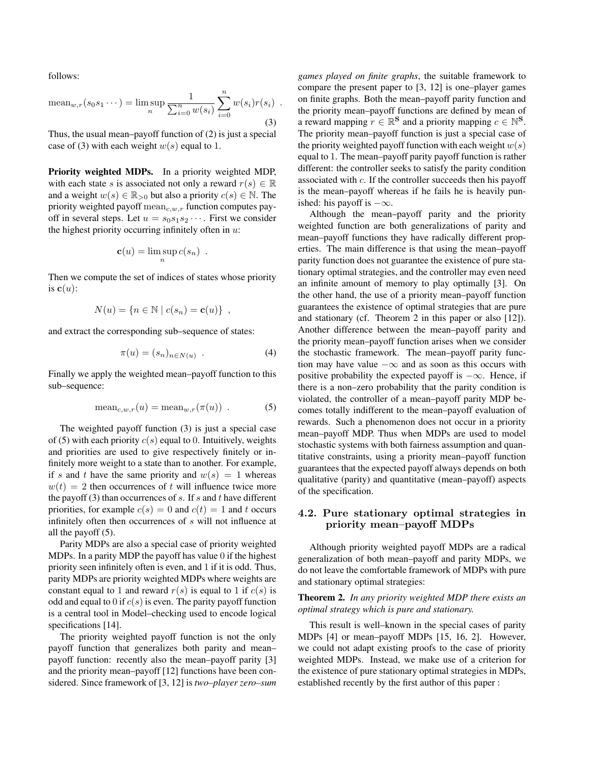follows:

mean<sub>w,r</sub>(s<sub>0</sub>s<sub>1</sub>...)= lim sup<sub>n</sub> 
$$
\frac{1}{\sum_{i=0}^{n} w(s_i)} \sum_{i=0}^{n} w(s_i) r(s_i)
$$
 (3)

Thus, the usual mean–payoff function of (2) is just a special case of (3) with each weight  $w(s)$  equal to 1.

Priority weighted MDPs. In a priority weighted MDP, with each state s is associated not only a reward  $r(s) \in \mathbb{R}$ and a weight  $w(s) \in \mathbb{R}_{>0}$  but also a priority  $c(s) \in \mathbb{N}$ . The priority weighted payoff  $\text{mean}_{c,w,r}$  function computes payoff in several steps. Let  $u = s_0 s_1 s_2 \cdots$ . First we consider the highest priority occurring infinitely often in  $u$ :

$$
\mathbf{c}(u) = \limsup_n c(s_n) .
$$

Then we compute the set of indices of states whose priority is  $c(u)$ :

$$
N(u) = \{ n \in \mathbb{N} \mid c(s_n) = \mathbf{c}(u) \},
$$

and extract the corresponding sub–sequence of states:

$$
\pi(u) = (s_n)_{n \in N(u)} . \tag{4}
$$

Finally we apply the weighted mean–payoff function to this sub–sequence:

$$
\text{mean}_{c,w,r}(u) = \text{mean}_{w,r}(\pi(u)) . \tag{5}
$$

The weighted payoff function (3) is just a special case of (5) with each priority  $c(s)$  equal to 0. Intuitively, weights and priorities are used to give respectively finitely or infinitely more weight to a state than to another. For example, if s and t have the same priority and  $w(s) = 1$  whereas  $w(t) = 2$  then occurrences of t will influence twice more the payoff (3) than occurrences of  $s$ . If  $s$  and  $t$  have different priorities, for example  $c(s) = 0$  and  $c(t) = 1$  and t occurs infinitely often then occurrences of s will not influence at all the payoff (5).

Parity MDPs are also a special case of priority weighted MDPs. In a parity MDP the payoff has value 0 if the highest priority seen infinitely often is even, and 1 if it is odd. Thus, parity MDPs are priority weighted MDPs where weights are constant equal to 1 and reward  $r(s)$  is equal to 1 if  $c(s)$  is odd and equal to 0 if  $c(s)$  is even. The parity payoff function is a central tool in Model–checking used to encode logical specifications [14].

The priority weighted payoff function is not the only payoff function that generalizes both parity and mean– payoff function: recently also the mean–payoff parity [3] and the priority mean–payoff [12] functions have been considered. Since framework of [3, 12] is *two–player zero–sum* *games played on finite graphs*, the suitable framework to compare the present paper to [3, 12] is one–player games on finite graphs. Both the mean–payoff parity function and the priority mean–payoff functions are defined by mean of a reward mapping  $r \in \mathbb{R}^{\mathbf{S}}$  and a priority mapping  $c \in \mathbb{N}^{\mathbf{S}}$ . The priority mean–payoff function is just a special case of the priority weighted payoff function with each weight  $w(s)$ equal to 1. The mean–payoff parity payoff function is rather different: the controller seeks to satisfy the parity condition associated with c. If the controller succeeds then his payoff is the mean–payoff whereas if he fails he is heavily punished: his payoff is  $-\infty$ .

Although the mean–payoff parity and the priority weighted function are both generalizations of parity and mean–payoff functions they have radically different properties. The main difference is that using the mean–payoff parity function does not guarantee the existence of pure stationary optimal strategies, and the controller may even need an infinite amount of memory to play optimally [3]. On the other hand, the use of a priority mean–payoff function guarantees the existence of optimal strategies that are pure and stationary (cf. Theorem 2 in this paper or also [12]). Another difference between the mean–payoff parity and the priority mean–payoff function arises when we consider the stochastic framework. The mean–payoff parity function may have value  $-\infty$  and as soon as this occurs with positive probability the expected payoff is  $-\infty$ . Hence, if there is a non–zero probability that the parity condition is violated, the controller of a mean–payoff parity MDP becomes totally indifferent to the mean–payoff evaluation of rewards. Such a phenomenon does not occur in a priority mean–payoff MDP. Thus when MDPs are used to model stochastic systems with both fairness assumption and quantitative constraints, using a priority mean–payoff function guarantees that the expected payoff always depends on both qualitative (parity) and quantitative (mean–payoff) aspects of the specification.

# 4.2. Pure stationary optimal strategies in priority mean–payoff MDPs

Although priority weighted payoff MDPs are a radical generalization of both mean–payoff and parity MDPs, we do not leave the comfortable framework of MDPs with pure and stationary optimal strategies:

#### Theorem 2. *In any priority weighted MDP there exists an optimal strategy which is pure and stationary.*

This result is well–known in the special cases of parity MDPs [4] or mean–payoff MDPs [15, 16, 2]. However, we could not adapt existing proofs to the case of priority weighted MDPs. Instead, we make use of a criterion for the existence of pure stationary optimal strategies in MDPs, established recently by the first author of this paper :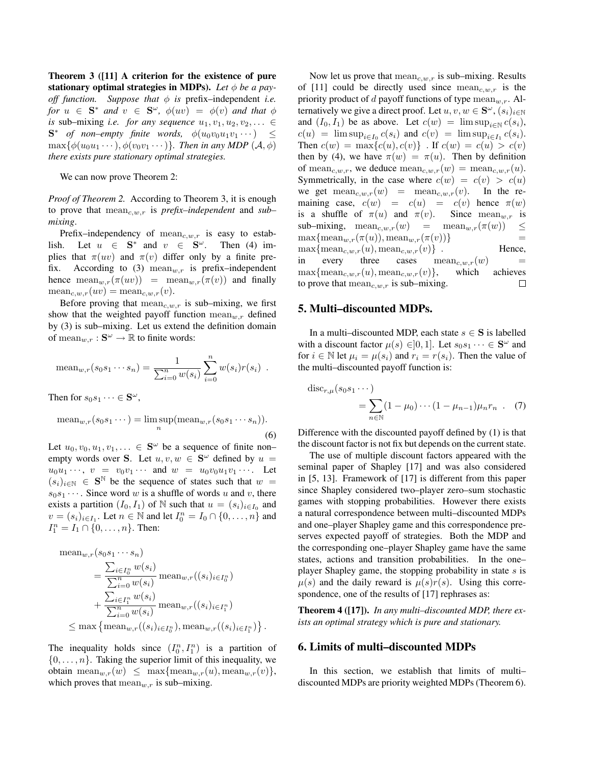Theorem 3 ([11] A criterion for the existence of pure stationary optimal strategies in MDPs). Let  $\phi$  be a pay*off function.* Suppose that  $\phi$  is prefix-independent *i.e. for*  $u \in S^*$  *and*  $v \in S^{\omega}$ ,  $\phi(uv) = \phi(v)$  *and that*  $\phi$ *is* sub–mixing *i.e. for any sequence*  $u_1, v_1, u_2, v_2, \ldots \in$  $S^*$  *of non–empty finite words,*  $\phi(u_0v_0u_1v_1\cdots) \leq$  $\max{\phi(u_0u_1\cdots),\phi(v_0v_1\cdots)}$ *. Then in any MDP*  $(\mathcal{A},\phi)$ *there exists pure stationary optimal strategies.*

We can now prove Theorem 2:

*Proof of Theorem 2.* According to Theorem 3, it is enough to prove that  $\text{mean}_{c,w,r}$  is *prefix–independent* and *sub– mixing*.

Prefix–independency of  $\text{mean}_{c,w,r}$  is easy to establish. Let  $u \in \mathbf{S}^*$  and  $v \in \mathbf{S}^{\omega}$ . Then (4) implies that  $\pi(uv)$  and  $\pi(v)$  differ only by a finite prefix. According to (3) mean<sub>w,r</sub> is prefix-independent hence  $\text{mean}_{w,r}(\pi(uv)) = \text{mean}_{w,r}(\pi(v))$  and finally  $\text{mean}_{c,w,r}(uv) = \text{mean}_{c,w,r}(v).$ 

Before proving that  $mean_{c,w,r}$  is sub–mixing, we first show that the weighted payoff function  $\text{mean}_{w,r}$  defined by (3) is sub–mixing. Let us extend the definition domain of mean $_{w,r}: \mathbf{S}^{\omega} \to \mathbb{R}$  to finite words:

mean<sub>w,r</sub>(s<sub>0</sub>s<sub>1</sub>...s<sub>n</sub>) = 
$$
\frac{1}{\sum_{i=0}^{n} w(s_i)} \sum_{i=0}^{n} w(s_i) r(s_i).
$$

Then for  $s_0 s_1 \cdots \in \mathbf{S}^{\omega}$ ,

meanw,r(s0s<sup>1</sup> · · ·) = lim sup n (meanw,r(s0s<sup>1</sup> · · · sn)). (6)

Let  $u_0, v_0, u_1, v_1, \ldots \in \mathbf{S}^{\omega}$  be a sequence of finite nonempty words over S. Let  $u, v, w \in S^{\omega}$  defined by  $u =$  $u_0u_1\cdots, v = v_0v_1\cdots$  and  $w = u_0v_0u_1v_1\cdots$ . Let  $(s_i)_{i\in\mathbb{N}}$   $\in$  S<sup>N</sup> be the sequence of states such that  $w =$  $s_0s_1 \cdots$ . Since word w is a shuffle of words u and v, there exists a partition  $(I_0, I_1)$  of N such that  $u = (s_i)_{i \in I_0}$  and  $v = (s_i)_{i \in I_1}$ . Let  $n \in \mathbb{N}$  and let  $I_0^n = I_0 \cap \{0, \ldots, n\}$  and  $I_1^n = I_1 \cap \{0, \ldots, n\}.$  Then:

mean<sub>w,r</sub>(s<sub>0</sub>s<sub>1</sub>...s<sub>n</sub>)  
\n
$$
= \frac{\sum_{i \in I_0^n} w(s_i)}{\sum_{i=0}^n w(s_i)} \text{mean}_{w,r}((s_i)_{i \in I_0^n})
$$
\n
$$
+ \frac{\sum_{i \in I_1^n} w(s_i)}{\sum_{i=0}^n w(s_i)} \text{mean}_{w,r}((s_i)_{i \in I_1^n})
$$
\n
$$
\leq \max \{ \text{mean}_{w,r}((s_i)_{i \in I_0^n}), \text{mean}_{w,r}((s_i)_{i \in I_1^n}) \}.
$$

The inequality holds since  $(I_0^n, I_1^n)$  is a partition of  $\{0, \ldots, n\}$ . Taking the superior limit of this inequality, we obtain mean $_{w,r}(w) \leq \max\{\text{mean}_{w,r}(u), \text{mean}_{w,r}(v)\},$ which proves that  $mean_{w,r}$  is sub–mixing.

Now let us prove that  $mean_{c,w,r}$  is sub–mixing. Results of [11] could be directly used since  $\text{mean}_{c,w,r}$  is the priority product of d payoff functions of type  $\text{mean}_{w,r}$ . Alternatively we give a direct proof. Let  $u, v, w \in \mathbf{S}^{\omega}$ ,  $(s_i)_{i \in \mathbb{N}}$ and  $(I_0, I_1)$  be as above. Let  $c(w) = \limsup_{i \in \mathbb{N}} c(s_i)$ ,  $c(u) = \limsup_{i \in I_0} c(s_i)$  and  $c(v) = \limsup_{i \in I_1} c(s_i)$ . Then  $c(w) = \max\{c(u), c(v)\}\.$  If  $c(w) = c(u) > c(v)$ then by (4), we have  $\pi(w) = \pi(u)$ . Then by definition of mean<sub>c,w,r</sub>, we deduce mean<sub>c,w,r</sub>(w) = mean<sub>c,w,r</sub>(u). Symmetrically, in the case where  $c(w) = c(v) > c(u)$ we get  $\text{mean}_{c,w,r}(w) = \text{mean}_{c,w,r}(v)$ . In the remaining case,  $c(w) = c(u) = c(v)$  hence  $\pi(w)$ is a shuffle of  $\pi(u)$  and  $\pi(v)$ . Since mean<sub>w,r</sub> is sub–mixing,  $mean_{c,w,r}(w)$  =  $mean_{w,r}(\pi(w)) \leq$  $\max{\{ \text{mean}_{w,r}(\pi(u)), \text{mean}_{w,r}(\pi(v))\}}$  =  $\max{\{mean_{c,w,r}(u), mean_{c,w,r}(v)\}}$ . Hence, in every three cases  $\text{mean}_{c,w,r}(w)$  =  $\max{\{mean_{c,w,r}(u), mean_{c,w,r}(v)\}}$ , which achieves to prove that  $mean_{c,w,r}$  is sub–mixing.  $\Box$ 

## 5. Multi–discounted MDPs.

In a multi–discounted MDP, each state  $s \in S$  is labelled with a discount factor  $\mu(s) \in ]0,1]$ . Let  $s_0s_1 \cdots \in \mathbf{S}^{\omega}$  and for  $i \in \mathbb{N}$  let  $\mu_i = \mu(s_i)$  and  $r_i = r(s_i)$ . Then the value of the multi–discounted payoff function is:

$$
disc_{r,\mu}(s_0s_1\cdots) = \sum_{n\in\mathbb{N}} (1-\mu_0)\cdots(1-\mu_{n-1})\mu_n r_n .
$$
 (7)

Difference with the discounted payoff defined by (1) is that the discount factor is not fix but depends on the current state.

The use of multiple discount factors appeared with the seminal paper of Shapley [17] and was also considered in [5, 13]. Framework of [17] is different from this paper since Shapley considered two–player zero–sum stochastic games with stopping probabilities. However there exists a natural correspondence between multi–discounted MDPs and one–player Shapley game and this correspondence preserves expected payoff of strategies. Both the MDP and the corresponding one–player Shapley game have the same states, actions and transition probabilities. In the one– player Shapley game, the stopping probability in state s is  $\mu(s)$  and the daily reward is  $\mu(s)r(s)$ . Using this correspondence, one of the results of [17] rephrases as:

Theorem 4 ([17]). *In any multi–discounted MDP, there exists an optimal strategy which is pure and stationary.*

## 6. Limits of multi–discounted MDPs

In this section, we establish that limits of multi– discounted MDPs are priority weighted MDPs (Theorem 6).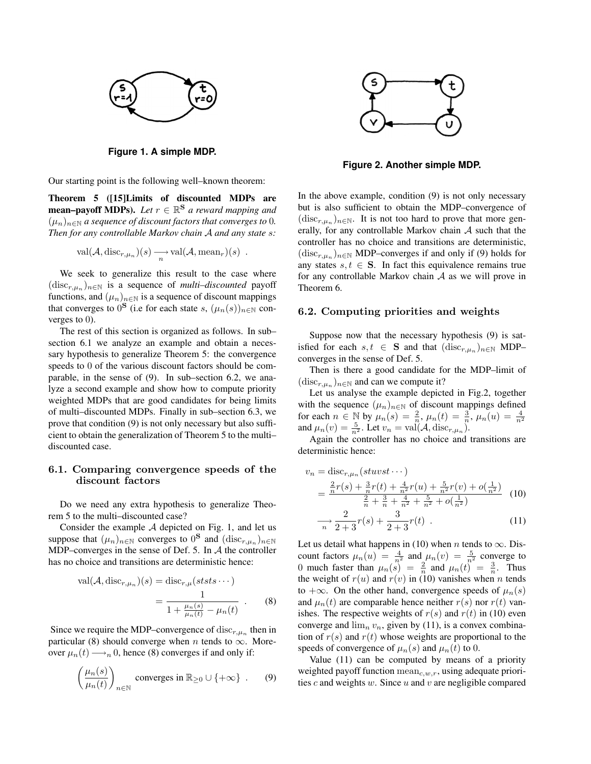

**Figure 1. A simple MDP.**

Our starting point is the following well–known theorem:

Theorem 5 ([15]Limits of discounted MDPs are **mean–payoff MDPs).** Let  $r \in \mathbb{R}^{\mathbf{S}}$  a reward mapping and  $(\mu_n)_{n\in\mathbb{N}}$  *a sequence of discount factors that converges to* 0*. Then for any controllable Markov chain* A *and any state* s*:*

$$
\mathrm{val}(\mathcal{A}, \mathrm{disc}_{r,\mu_n})(s) \xrightarrow[n]{} \mathrm{val}(\mathcal{A}, \mathrm{mean}_r)(s) .
$$

We seek to generalize this result to the case where  $(\text{disc}_{r,\mu_n})_{n\in\mathbb{N}}$  is a sequence of *multi-discounted* payoff functions, and  $(\mu_n)_{n \in \mathbb{N}}$  is a sequence of discount mappings that converges to  $0^{\mathbf{S}}$  (i.e for each state s,  $(\mu_n(s))_{n \in \mathbb{N}}$  converges to 0).

The rest of this section is organized as follows. In sub– section 6.1 we analyze an example and obtain a necessary hypothesis to generalize Theorem 5: the convergence speeds to 0 of the various discount factors should be comparable, in the sense of (9). In sub–section 6.2, we analyze a second example and show how to compute priority weighted MDPs that are good candidates for being limits of multi–discounted MDPs. Finally in sub–section 6.3, we prove that condition (9) is not only necessary but also sufficient to obtain the generalization of Theorem 5 to the multi– discounted case.

## 6.1. Comparing convergence speeds of the discount factors

Do we need any extra hypothesis to generalize Theorem 5 to the multi–discounted case?

Consider the example A depicted on Fig. 1, and let us suppose that  $(\mu_n)_{n \in \mathbb{N}}$  converges to  $0^{\mathbf{S}}$  and  $(\text{disc}_{r,\mu_n})_{n \in \mathbb{N}}$ MDP–converges in the sense of Def. 5. In A the controller has no choice and transitions are deterministic hence:

$$
val(\mathcal{A}, \text{disc}_{r,\mu_n})(s) = \text{disc}_{r,\mu}(ststs \cdots)
$$

$$
= \frac{1}{1 + \frac{\mu_n(s)}{\mu_n(t)} - \mu_n(t)} . \tag{8}
$$

Since we require the MDP–convergence of  $disc_{r,\mu_n}$  then in particular (8) should converge when *n* tends to  $\infty$ . Moreover  $\mu_n(t) \longrightarrow_n 0$ , hence (8) converges if and only if:

$$
\left(\frac{\mu_n(s)}{\mu_n(t)}\right)_{n\in\mathbb{N}} \text{ converges in } \mathbb{R}_{\geq 0} \cup \{+\infty\} . \qquad (9)
$$



**Figure 2. Another simple MDP.**

In the above example, condition (9) is not only necessary but is also sufficient to obtain the MDP–convergence of  $(\text{disc}_{r,\mu_n})_{n\in\mathbb{N}}$ . It is not too hard to prove that more generally, for any controllable Markov chain  $\mathcal A$  such that the controller has no choice and transitions are deterministic,  $(\text{disc}_{r,\mu_n})_{n\in\mathbb{N}}$  MDP–converges if and only if (9) holds for any states  $s, t \in S$ . In fact this equivalence remains true for any controllable Markov chain  $A$  as we will prove in Theorem 6.

#### 6.2. Computing priorities and weights

Suppose now that the necessary hypothesis (9) is satisfied for each  $s, t \in \mathbf{S}$  and that  $(\text{disc}_{r,\mu_n})_{n \in \mathbb{N}}$  MDP– converges in the sense of Def. 5.

Then is there a good candidate for the MDP–limit of  $(\text{disc}_{r,\mu_n})_{n\in\mathbb{N}}$  and can we compute it?

Let us analyse the example depicted in Fig.2, together with the sequence  $(\mu_n)_{n \in \mathbb{N}}$  of discount mappings defined for each  $n \in \mathbb{N}$  by  $\mu_n(s) = \frac{2}{n}$ ,  $\mu_n(t) = \frac{3}{n}$ ,  $\mu_n(u) = \frac{4}{n^2}$ <br>and  $\mu_n(v) = \frac{5}{n^2}$ . Let  $v_n = \text{val}(\mathcal{A}, \text{disc}_{r,\mu_n})$ .

Again the controller has no choice and transitions are deterministic hence:

$$
v_n = \text{disc}_{r,\mu_n}(stuvst \cdots)
$$
  
= 
$$
\frac{\frac{2}{n}r(s) + \frac{3}{n}r(t) + \frac{4}{n^2}r(u) + \frac{5}{n^2}r(v) + o(\frac{1}{n^2})}{\frac{2}{n} + \frac{3}{n} + \frac{4}{n^2} + \frac{5}{n^2} + o(\frac{1}{n^2})}
$$
(10)

$$
\frac{2}{n} \frac{2}{2+3} r(s) + \frac{3}{2+3} r(t) \tag{11}
$$

Let us detail what happens in (10) when *n* tends to  $\infty$ . Discount factors  $\mu_n(u) = \frac{4}{n^2}$  and  $\mu_n(v) = \frac{5}{n^2}$  converge to 0 much faster than  $\mu_n(s) = \frac{2}{n}$  and  $\mu_n(t) = \frac{3}{n}$ . Thus the weight of  $r(u)$  and  $r(v)$  in (10) vanishes when n tends to +∞. On the other hand, convergence speeds of  $\mu_n(s)$ and  $\mu_n(t)$  are comparable hence neither  $r(s)$  nor  $r(t)$  vanishes. The respective weights of  $r(s)$  and  $r(t)$  in (10) even converge and  $\lim_{n} v_n$ , given by (11), is a convex combination of  $r(s)$  and  $r(t)$  whose weights are proportional to the speeds of convergence of  $\mu_n(s)$  and  $\mu_n(t)$  to 0.

Value (11) can be computed by means of a priority weighted payoff function  $\text{mean}_{c,w,r}$ , using adequate priorities  $c$  and weights  $w$ . Since  $u$  and  $v$  are negligible compared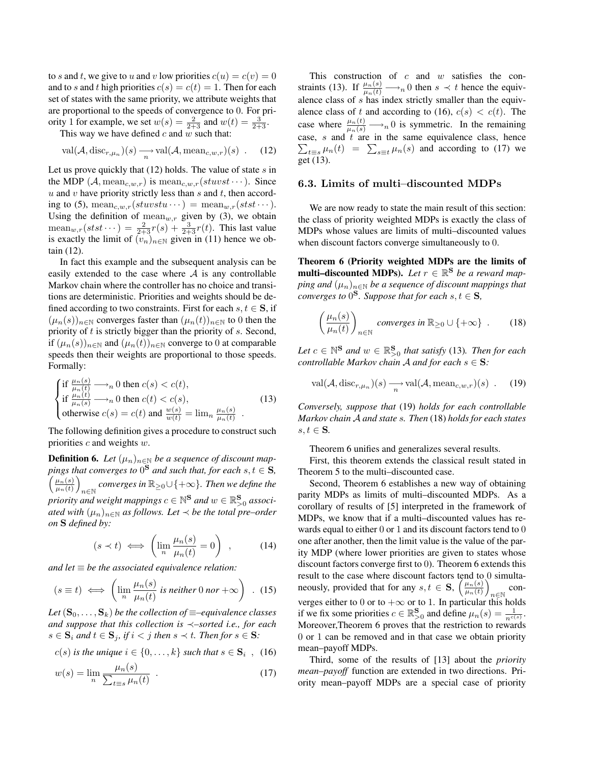to s and t, we give to u and v low priorities  $c(u) = c(v) = 0$ and to s and t high priorities  $c(s) = c(t) = 1$ . Then for each set of states with the same priority, we attribute weights that are proportional to the speeds of convergence to 0. For priority 1 for example, we set  $w(s) = \frac{2}{2+3}$  and  $w(t) = \frac{3}{2+3}$ .

This way we have defined c and  $w$  such that:

$$
\text{val}(\mathcal{A}, \text{disc}_{r,\mu_n})(s) \xrightarrow[n]{} \text{val}(\mathcal{A}, \text{mean}_{c,w,r})(s) \quad . \quad (12)
$$

Let us prove quickly that  $(12)$  holds. The value of state s in the MDP  $(A, \text{mean}_{c,w,r})$  is  $\text{mean}_{c,w,r}(stuvst \cdots)$ . Since  $u$  and  $v$  have priority strictly less than  $s$  and  $t$ , then according to (5), mean<sub>c,w,r</sub> $(stuvstu \cdots)$  = mean<sub>w,r</sub> $(stst \cdots)$ . Using the definition of  $\text{mean}_{w,r}$  given by (3), we obtain  $\text{mean}_{w,r}(stst\cdots) = \frac{2}{2+3}r(s) + \frac{3}{2+3}r(t)$ . This last value is exactly the limit of  $(v_n)_{n \in \mathbb{N}}$  given in (11) hence we obtain (12).

In fact this example and the subsequent analysis can be easily extended to the case where  $A$  is any controllable Markov chain where the controller has no choice and transitions are deterministic. Priorities and weights should be defined according to two constraints. First for each  $s, t \in S$ , if  $(\mu_n(s))_{n\in\mathbb{N}}$  converges faster than  $(\mu_n(t))_{n\in\mathbb{N}}$  to 0 then the priority of  $t$  is strictly bigger than the priority of  $s$ . Second, if  $(\mu_n(s))_{n\in\mathbb{N}}$  and  $(\mu_n(t))_{n\in\mathbb{N}}$  converge to 0 at comparable speeds then their weights are proportional to those speeds. Formally:

$$
\begin{cases}\n\text{if } \frac{\mu_n(s)}{\mu_n(t)} \longrightarrow_n 0 \text{ then } c(s) < c(t), \\
\text{if } \frac{\mu_n(t)}{\mu_n(s)} \longrightarrow_n 0 \text{ then } c(t) < c(s), \\
\text{otherwise } c(s) = c(t) \text{ and } \frac{w(s)}{w(t)} = \lim_n \frac{\mu_n(s)}{\mu_n(t)} \n\end{cases} \tag{13}
$$

The following definition gives a procedure to construct such priorities  $c$  and weights  $w$ .

**Definition 6.** Let  $(\mu_n)_{n \in \mathbb{N}}$  be a sequence of discount mappings that converges to  $0^{\bf S}$  and such that, for each  $s,t \in {\bf S}$ ,  $\int \mu_n(s)$  $\frac{\mu_n(s)}{\mu_n(t)}$ n∈N *converges in* R<sup>≥</sup>0∪{+∞}*. Then we define the* priority and weight mappings  $c \in \mathbb{N}^{\mathbf{S}}$  and  $w \in \mathbb{R}_{>0}^{\mathbf{S}}$  associ*ated with*  $(\mu_n)_{n \in \mathbb{N}}$  *as follows. Let*  $\prec$  *be the total pre–order on* S *defined by:*

$$
(s \prec t) \iff \left(\lim_{n} \frac{\mu_n(s)}{\mu_n(t)} = 0\right) , \quad (14)
$$

*and let*  $\equiv$  *be the associated equivalence relation:* 

$$
(s \equiv t) \iff \left(\lim_{n} \frac{\mu_n(s)}{\mu_n(t)} \text{ is neither } 0 \text{ nor } +\infty\right) \quad . \tag{15}
$$

*Let*  $(\mathbf{S}_0, \ldots, \mathbf{S}_k)$  *be the collection of*  $\equiv$ *-equivalence classes and suppose that this collection is* ≺*–sorted i.e., for each*  $s \in \mathbf{S}_i$  and  $t \in \mathbf{S}_j$ , if  $i < j$  then  $s \prec t$ . Then for  $s \in \mathbf{S}$ :

$$
c(s)
$$
 is the unique  $i \in \{0, \ldots, k\}$  such that  $s \in \mathbf{S}_i$ , (16)

$$
w(s) = \lim_{n} \frac{\mu_n(s)}{\sum_{t=s} \mu_n(t)} \tag{17}
$$

This construction of  $c$  and  $w$  satisfies the constraints (13). If  $\frac{\mu_n(s)}{\mu_n(t)} \longrightarrow_n 0$  then  $s \prec t$  hence the equivalence class of  $s$  has index strictly smaller than the equivalence class of t and according to (16),  $c(s) < c(t)$ . The case where  $\frac{\mu_n(t)}{\mu_n(s)} \longrightarrow_n 0$  is symmetric. In the remaining case,  $s$  and  $t$  are in the same equivalence class, hence  $\sum_{t=s} \mu_n(t) = \sum_{s=t} \mu_n(s)$  and according to (17) we get (13).

#### 6.3. Limits of multi–discounted MDPs

We are now ready to state the main result of this section: the class of priority weighted MDPs is exactly the class of MDPs whose values are limits of multi–discounted values when discount factors converge simultaneously to 0.

Theorem 6 (Priority weighted MDPs are the limits of multi–discounted MDPs). Let  $r \in \mathbb{R}^{\mathbf{S}}$  be a reward map*ping and*  $(\mu_n)_{n\in\mathbb{N}}$  *be a sequence of discount mappings that converges to*  $0^{\mathbf{S}}$ *. Suppose that for each*  $s, t \in \mathbf{S}$ *,* 

$$
\left(\frac{\mu_n(s)}{\mu_n(t)}\right)_{n\in\mathbb{N}} converges in \mathbb{R}_{\geq 0} \cup \{+\infty\} . \tag{18}
$$

Let  $c \in \mathbb{N}^{\mathbf{S}}$  and  $w \in \mathbb{R}_{>0}^{\mathbf{S}}$  that satisfy (13). Then for each *controllable Markov chain* A *and for each*  $s \in S$ *:* 

$$
\text{val}(\mathcal{A}, \text{disc}_{r,\mu_n})(s) \xrightarrow[n]{\cdot} \text{val}(\mathcal{A}, \text{mean}_{c,w,r})(s) \ . \tag{19}
$$

*Conversely, suppose that* (19) *holds for each controllable Markov chain* A *and state* s*. Then* (18) *holds for each states*  $s, t \in S$ .

Theorem 6 unifies and generalizes several results.

First, this theorem extends the classical result stated in Theorem 5 to the multi–discounted case.

Second, Theorem 6 establishes a new way of obtaining parity MDPs as limits of multi–discounted MDPs. As a corollary of results of [5] interpreted in the framework of MDPs, we know that if a multi–discounted values has rewards equal to either 0 or 1 and its discount factors tend to 0 one after another, then the limit value is the value of the parity MDP (where lower priorities are given to states whose discount factors converge first to 0). Theorem 6 extends this result to the case where discount factors tend to 0 simultaneously, provided that for any  $s, t \in S$ ,  $\left(\frac{\mu_n(s)}{\mu_n(t)}\right)$  $\frac{\mu_n(s)}{\mu_n(t)}$ n∈N converges either to 0 or to + $\infty$  or to 1. In particular this holds if we fix some priorities  $c \in \mathbb{R}^{\mathbf{S}}_{>0}$  and define  $\mu_n(s) = \frac{1}{n^{c(s)}}$ . Moreover,Theorem 6 proves that the restriction to rewards 0 or 1 can be removed and in that case we obtain priority mean–payoff MDPs.

Third, some of the results of [13] about the *priority mean–payoff* function are extended in two directions. Priority mean–payoff MDPs are a special case of priority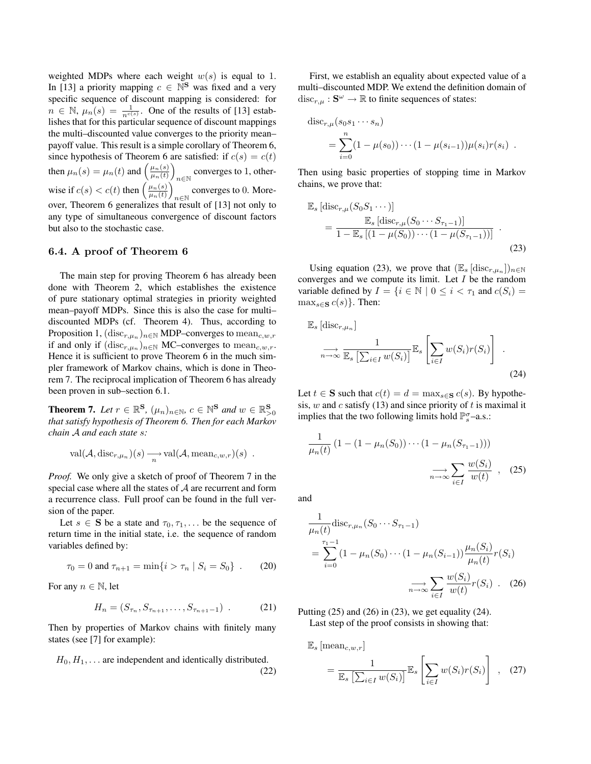weighted MDPs where each weight  $w(s)$  is equal to 1. In [13] a priority mapping  $c \in \mathbb{N}^{\mathbf{S}}$  was fixed and a very specific sequence of discount mapping is considered: for  $n \in \mathbb{N}$ ,  $\mu_n(s) = \frac{1}{n^{c(s)}}$ . One of the results of [13] establishes that for this particular sequence of discount mappings the multi–discounted value converges to the priority mean– payoff value. This result is a simple corollary of Theorem 6, since hypothesis of Theorem 6 are satisfied: if  $c(s) = c(t)$ then  $\mu_n(s) = \mu_n(t)$  and  $\left(\frac{\mu_n(s)}{\mu_n(t)}\right)$  $\frac{\mu_n(s)}{\mu_n(t)}$ converges to 1, otherwise if  $c(s) < c(t)$  then  $\left(\frac{\mu_n(s)}{\mu_n(t)}\right)$  $\frac{\mu_n(s)}{\mu_n(t)}$ converges to 0. More- $n \in \mathbb{N}$ over, Theorem 6 generalizes that result of [13] not only to any type of simultaneous convergence of discount factors but also to the stochastic case.

#### 6.4. A proof of Theorem 6

The main step for proving Theorem 6 has already been done with Theorem 2, which establishes the existence of pure stationary optimal strategies in priority weighted mean–payoff MDPs. Since this is also the case for multi– discounted MDPs (cf. Theorem 4). Thus, according to Proposition 1,  $(\mathrm{disc}_{r,\mu_n})_{n\in\mathbb{N}}$  MDP–converges to  $\mathrm{mean}_{c,w,r}$ if and only if  $(\text{disc}_{r,\mu_n})_{n\in\mathbb{N}}$  MC–converges to mean<sub>c,*w*,*r*</sub>. Hence it is sufficient to prove Theorem 6 in the much simpler framework of Markov chains, which is done in Theorem 7. The reciprocal implication of Theorem 6 has already been proven in sub–section 6.1.

**Theorem 7.** Let  $r \in \mathbb{R}^{\mathbf{S}}$ ,  $(\mu_n)_{n \in \mathbb{N}}$ ,  $c \in \mathbb{N}^{\mathbf{S}}$  and  $w \in \mathbb{R}^{\mathbf{S}}_{>0}$ *that satisfy hypothesis of Theorem 6. Then for each Markov chain* A *and each state* s*:*

$$
\text{val}(\mathcal{A}, \text{disc}_{r,\mu_n})(s) \xrightarrow[n]{} \text{val}(\mathcal{A}, \text{mean}_{c,w,r})(s) .
$$

*Proof.* We only give a sketch of proof of Theorem 7 in the special case where all the states of  $A$  are recurrent and form a recurrence class. Full proof can be found in the full version of the paper.

Let  $s \in S$  be a state and  $\tau_0, \tau_1, \ldots$  be the sequence of return time in the initial state, i.e. the sequence of random variables defined by:

$$
\tau_0 = 0 \text{ and } \tau_{n+1} = \min\{i > \tau_n \mid S_i = S_0\} \ . \tag{20}
$$

For any  $n \in \mathbb{N}$ , let

$$
H_n = (S_{\tau_n}, S_{\tau_{n+1}}, \dots, S_{\tau_{n+1}-1}) \tag{21}
$$

Then by properties of Markov chains with finitely many states (see [7] for example):

$$
H_0, H_1, \ldots
$$
 are independent and identically distributed. (22)

First, we establish an equality about expected value of a multi–discounted MDP. We extend the definition domain of  $\operatorname{disc}_{r,\mu}: \mathbf{S}^{\omega} \to \mathbb{R}$  to finite sequences of states:

$$
disc_{r,\mu}(s_0s_1\cdots s_n) = \sum_{i=0}^n (1-\mu(s_0))\cdots (1-\mu(s_{i-1}))\mu(s_i)r(s_i).
$$

Then using basic properties of stopping time in Markov chains, we prove that:

$$
\mathbb{E}_{s} \left[ \text{disc}_{r,\mu}(S_{0}S_{1} \cdots) \right]
$$
\n
$$
= \frac{\mathbb{E}_{s} \left[ \text{disc}_{r,\mu}(S_{0} \cdots S_{\tau_{1}-1}) \right]}{1 - \mathbb{E}_{s} \left[ (1 - \mu(S_{0})) \cdots (1 - \mu(S_{\tau_{1}-1})) \right]} \quad .
$$
\n(23)

Using equation (23), we prove that  $(\mathbb{E}_s \left[ \text{disc}_{r,\mu_n} \right])_{n \in \mathbb{N}}$ converges and we compute its limit. Let  $I$  be the random variable defined by  $I = \{i \in \mathbb{N} \mid 0 \le i < \tau_1 \text{ and } c(S_i) =$  $\max_{s \in \mathbf{S}} c(s)$ . Then:

$$
\mathbb{E}_s \left[ \operatorname{disc}_{r,\mu_n} \right]
$$
  
\n
$$
\xrightarrow[n \to \infty]{} \frac{1}{\mathbb{E}_s \left[ \sum_{i \in I} w(S_i) \right]} \mathbb{E}_s \left[ \sum_{i \in I} w(S_i) r(S_i) \right].
$$
  
\n(24)

Let  $t \in S$  such that  $c(t) = d = \max_{s \in S} c(s)$ . By hypothesis, w and c satisfy  $(13)$  and since priority of t is maximal it implies that the two following limits hold  $\mathbb{P}_{s}^{\sigma}$ -a.s.:

$$
\frac{1}{\mu_n(t)} \left( 1 - (1 - \mu_n(S_0)) \cdots (1 - \mu_n(S_{\tau_1 - 1})) \right)
$$

$$
\underset{n \to \infty}{\longrightarrow} \sum_{i \in I} \frac{w(S_i)}{w(t)} , \quad (25)
$$

and

$$
\frac{1}{\mu_n(t)} \text{disc}_{r,\mu_n}(S_0 \cdots S_{\tau_1 - 1})
$$
\n
$$
= \sum_{i=0}^{\tau_1 - 1} (1 - \mu_n(S_0) \cdots (1 - \mu_n(S_{i-1})) \frac{\mu_n(S_i)}{\mu_n(t)} r(S_i)
$$
\n
$$
\overrightarrow{n \to \infty} \sum_{i \in I} \frac{w(S_i)}{w(t)} r(S_i) \quad (26)
$$

Putting  $(25)$  and  $(26)$  in  $(23)$ , we get equality  $(24)$ . Last step of the proof consists in showing that:

 $\mathbb{E}_s$  [mean<sub>c,w,r</sub>]

$$
= \frac{1}{\mathbb{E}_s \left[ \sum_{i \in I} w(S_i) \right]} \mathbb{E}_s \left[ \sum_{i \in I} w(S_i) r(S_i) \right], \quad (27)
$$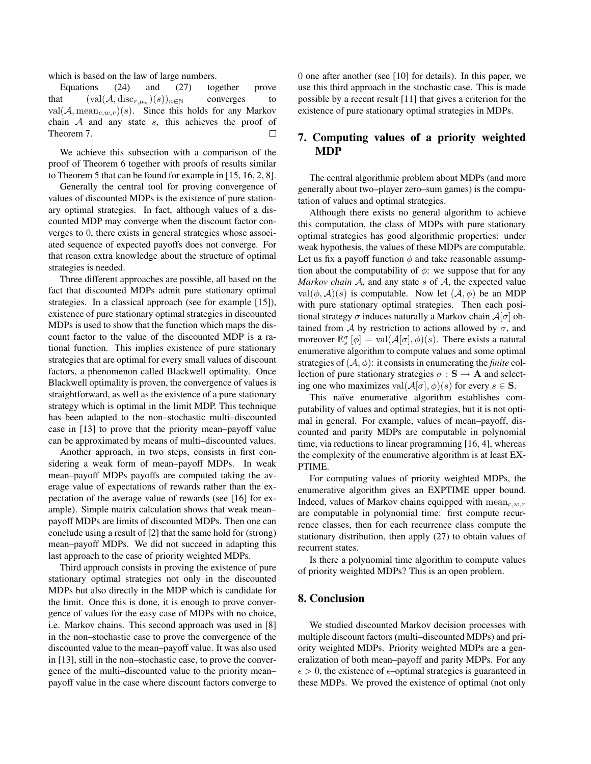which is based on the law of large numbers.

Equations (24) and (27) together prove that  $(\text{val}(\mathcal{A}, \text{disc}_{r,\mu_n})(s))_{n \in \mathbb{N}}$  converges to val $(A, \text{mean}_{c,w,r})(s)$ . Since this holds for any Markov chain  $A$  and any state  $s$ , this achieves the proof of Theorem 7.  $\Box$ 

We achieve this subsection with a comparison of the proof of Theorem 6 together with proofs of results similar to Theorem 5 that can be found for example in [15, 16, 2, 8].

Generally the central tool for proving convergence of values of discounted MDPs is the existence of pure stationary optimal strategies. In fact, although values of a discounted MDP may converge when the discount factor converges to 0, there exists in general strategies whose associated sequence of expected payoffs does not converge. For that reason extra knowledge about the structure of optimal strategies is needed.

Three different approaches are possible, all based on the fact that discounted MDPs admit pure stationary optimal strategies. In a classical approach (see for example [15]), existence of pure stationary optimal strategies in discounted MDPs is used to show that the function which maps the discount factor to the value of the discounted MDP is a rational function. This implies existence of pure stationary strategies that are optimal for every small values of discount factors, a phenomenon called Blackwell optimality. Once Blackwell optimality is proven, the convergence of values is straightforward, as well as the existence of a pure stationary strategy which is optimal in the limit MDP. This technique has been adapted to the non–stochastic multi–discounted case in [13] to prove that the priority mean–payoff value can be approximated by means of multi–discounted values.

Another approach, in two steps, consists in first considering a weak form of mean–payoff MDPs. In weak mean–payoff MDPs payoffs are computed taking the average value of expectations of rewards rather than the expectation of the average value of rewards (see [16] for example). Simple matrix calculation shows that weak mean– payoff MDPs are limits of discounted MDPs. Then one can conclude using a result of [2] that the same hold for (strong) mean–payoff MDPs. We did not succeed in adapting this last approach to the case of priority weighted MDPs.

Third approach consists in proving the existence of pure stationary optimal strategies not only in the discounted MDPs but also directly in the MDP which is candidate for the limit. Once this is done, it is enough to prove convergence of values for the easy case of MDPs with no choice, i.e. Markov chains. This second approach was used in [8] in the non–stochastic case to prove the convergence of the discounted value to the mean–payoff value. It was also used in [13], still in the non–stochastic case, to prove the convergence of the multi–discounted value to the priority mean– payoff value in the case where discount factors converge to 0 one after another (see [10] for details). In this paper, we use this third approach in the stochastic case. This is made possible by a recent result [11] that gives a criterion for the existence of pure stationary optimal strategies in MDPs.

# 7. Computing values of a priority weighted MDP

The central algorithmic problem about MDPs (and more generally about two–player zero–sum games) is the computation of values and optimal strategies.

Although there exists no general algorithm to achieve this computation, the class of MDPs with pure stationary optimal strategies has good algorithmic properties: under weak hypothesis, the values of these MDPs are computable. Let us fix a payoff function  $\phi$  and take reasonable assumption about the computability of  $\phi$ : we suppose that for any *Markov chain* A, and any state s of A, the expected value val $(\phi, \mathcal{A})(s)$  is computable. Now let  $(\mathcal{A}, \phi)$  be an MDP with pure stationary optimal strategies. Then each positional strategy  $\sigma$  induces naturally a Markov chain  $\mathcal{A}[\sigma]$  obtained from A by restriction to actions allowed by  $\sigma$ , and moreover  $\mathbb{E}_{s}^{\sigma}[\phi] = \text{val}(\mathcal{A}[\sigma], \phi)(s)$ . There exists a natural enumerative algorithm to compute values and some optimal strategies of  $(A, \phi)$ : it consists in enumerating the *finite* collection of pure stationary strategies  $\sigma : \mathbf{S} \to \mathbf{A}$  and selecting one who maximizes val $(A[\sigma], \phi)(s)$  for every  $s \in S$ .

This naïve enumerative algorithm establishes computability of values and optimal strategies, but it is not optimal in general. For example, values of mean–payoff, discounted and parity MDPs are computable in polynomial time, via reductions to linear programming [16, 4], whereas the complexity of the enumerative algorithm is at least EX-PTIME.

For computing values of priority weighted MDPs, the enumerative algorithm gives an EXPTIME upper bound. Indeed, values of Markov chains equipped with  $mean_{c,w,r}$ are computable in polynomial time: first compute recurrence classes, then for each recurrence class compute the stationary distribution, then apply (27) to obtain values of recurrent states.

Is there a polynomial time algorithm to compute values of priority weighted MDPs? This is an open problem.

## 8. Conclusion

We studied discounted Markov decision processes with multiple discount factors (multi–discounted MDPs) and priority weighted MDPs. Priority weighted MDPs are a generalization of both mean–payoff and parity MDPs. For any  $\epsilon > 0$ , the existence of  $\epsilon$ -optimal strategies is guaranteed in these MDPs. We proved the existence of optimal (not only